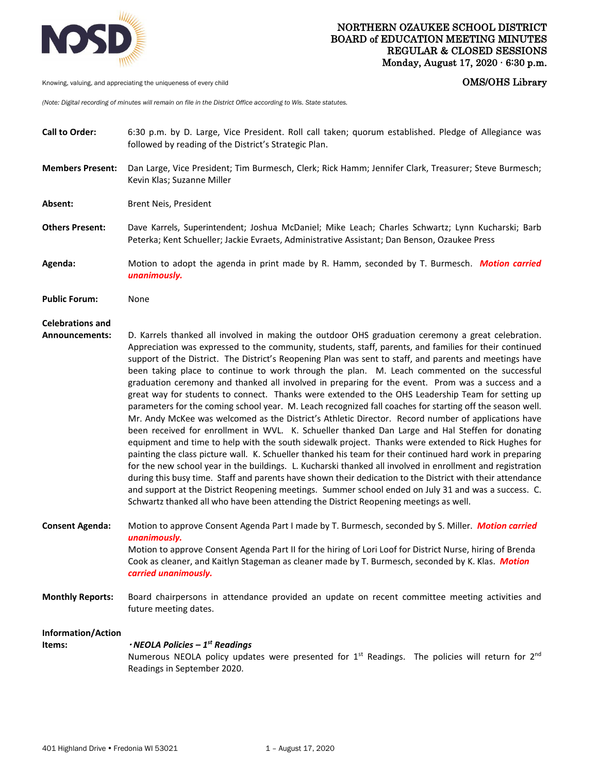

Knowing, valuing, and appreciating the uniqueness of every child **COMS COMS COMS COMS COMS COMS** 

*(Note: Digital recording of minutes will remain on file in the District Office according to Wis. State statutes.* 

- **Call to Order:** 6:30 p.m. by D. Large, Vice President. Roll call taken; quorum established. Pledge of Allegiance was followed by reading of the District's Strategic Plan.
- **Members Present:** Dan Large, Vice President; Tim Burmesch, Clerk; Rick Hamm; Jennifer Clark, Treasurer; Steve Burmesch; Kevin Klas; Suzanne Miller
- **Absent:** Brent Neis, President
- **Others Present:** Dave Karrels, Superintendent; Joshua McDaniel; Mike Leach; Charles Schwartz; Lynn Kucharski; Barb Peterka; Kent Schueller; Jackie Evraets, Administrative Assistant; Dan Benson, Ozaukee Press
- **Agenda:** Motion to adopt the agenda in print made by R. Hamm, seconded by T. Burmesch. *Motion carried unanimously.*

**Public Forum:** None

## **Celebrations and**

- **Announcements:** D. Karrels thanked all involved in making the outdoor OHS graduation ceremony a great celebration. Appreciation was expressed to the community, students, staff, parents, and families for their continued support of the District. The District's Reopening Plan was sent to staff, and parents and meetings have been taking place to continue to work through the plan. M. Leach commented on the successful graduation ceremony and thanked all involved in preparing for the event. Prom was a success and a great way for students to connect. Thanks were extended to the OHS Leadership Team for setting up parameters for the coming school year. M. Leach recognized fall coaches for starting off the season well. Mr. Andy McKee was welcomed as the District's Athletic Director. Record number of applications have been received for enrollment in WVL. K. Schueller thanked Dan Large and Hal Steffen for donating equipment and time to help with the south sidewalk project. Thanks were extended to Rick Hughes for painting the class picture wall. K. Schueller thanked his team for their continued hard work in preparing for the new school year in the buildings. L. Kucharski thanked all involved in enrollment and registration during this busy time. Staff and parents have shown their dedication to the District with their attendance and support at the District Reopening meetings. Summer school ended on July 31 and was a success. C. Schwartz thanked all who have been attending the District Reopening meetings as well.
- **Consent Agenda:** Motion to approve Consent Agenda Part I made by T. Burmesch, seconded by S. Miller. *Motion carried unanimously.*  Motion to approve Consent Agenda Part II for the hiring of Lori Loof for District Nurse, hiring of Brenda Cook as cleaner, and Kaitlyn Stageman as cleaner made by T. Burmesch, seconded by K. Klas. *Motion carried unanimously.*
- **Monthly Reports:** Board chairpersons in attendance provided an update on recent committee meeting activities and future meeting dates.

**Information/Action Items:**  *NEOLA Policies – 1st Readings* Numerous NEOLA policy updates were presented for  $1^{st}$  Readings. The policies will return for  $2^{nd}$ Readings in September 2020.